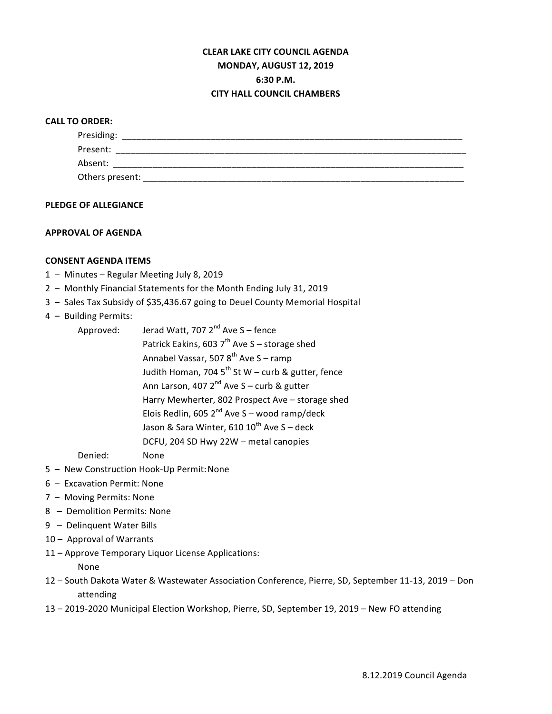# **CLEAR LAKE CITY COUNCIL AGENDA MONDAY, AUGUST 12, 2019 6:30 P.M. CITY HALL COUNCIL CHAMBERS**

## **CALL TO ORDER:**

| Presiding:      |
|-----------------|
| Present:        |
| Absent:         |
| Others present: |

#### **PLEDGE OF ALLEGIANCE**

## **APPROVAL OF AGENDA**

## **CONSENT AGENDA ITEMS**

- 1 Minutes Regular Meeting July 8, 2019
- 2 Monthly Financial Statements for the Month Ending July 31, 2019
- 3 Sales Tax Subsidy of \$35,436.67 going to Deuel County Memorial Hospital
- 4 Building Permits:

| Approved: | Jerad Watt, 707 2 <sup>nd</sup> Ave S - fence          |
|-----------|--------------------------------------------------------|
|           | Patrick Eakins, 603 $7th$ Ave S – storage shed         |
|           | Annabel Vassar, 507 8 <sup>th</sup> Ave S - ramp       |
|           | Judith Homan, 704 $5^{th}$ St W – curb & gutter, fence |
|           | Ann Larson, 407 $2^{nd}$ Ave S – curb & gutter         |
|           | Harry Mewherter, 802 Prospect Ave - storage shed       |
|           | Elois Redlin, 605 $2^{nd}$ Ave S – wood ramp/deck      |
|           | Jason & Sara Winter, 610 10 <sup>th</sup> Ave S - deck |
|           | DCFU, 204 SD Hwy 22W - metal canopies                  |
|           |                                                        |

Denied: None

- 5 New Construction Hook-Up Permit: None
- 6 Excavation Permit: None
- 7 Moving Permits: None
- 8 Demolition Permits: None
- 9 Delinquent Water Bills
- 10 Approval of Warrants
- 11 Approve Temporary Liquor License Applications:

None

- 12 South Dakota Water & Wastewater Association Conference, Pierre, SD, September 11-13, 2019 Don attending
- 13 2019-2020 Municipal Election Workshop, Pierre, SD, September 19, 2019 New FO attending